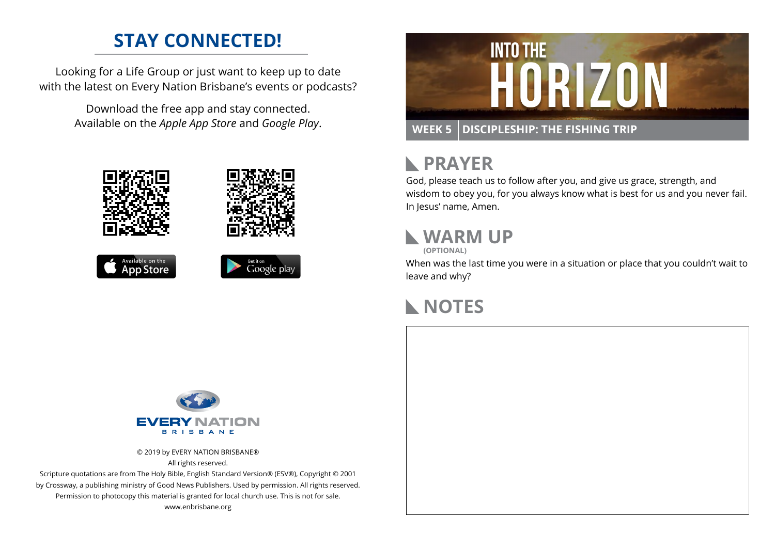## **STAY CONNECTED!**

Looking for a Life Group or just want to keep up to date with the latest on Every Nation Brisbane's events or podcasts?

> Download the free app and stay connected. Available on the *Apple App Store* and *Google Play*.











## **RAYER**

God, please teach us to follow after you, and give us grace, strength, and wisdom to obey you, for you always know what is best for us and you never fail. In Jesus' name, Amen.

## **WARM UP**

**(OPTIONAL)**

When was the last time you were in a situation or place that you couldn't wait to leave and why?

### **NOTES**



© 2019 by EVERY NATION BRISBANE® All rights reserved.

Scripture quotations are from The Holy Bible, English Standard Version® (ESV®), Copyright © 2001 by Crossway, a publishing ministry of Good News Publishers. Used by permission. All rights reserved. Permission to photocopy this material is granted for local church use. This is not for sale. www.enbrisbane.org